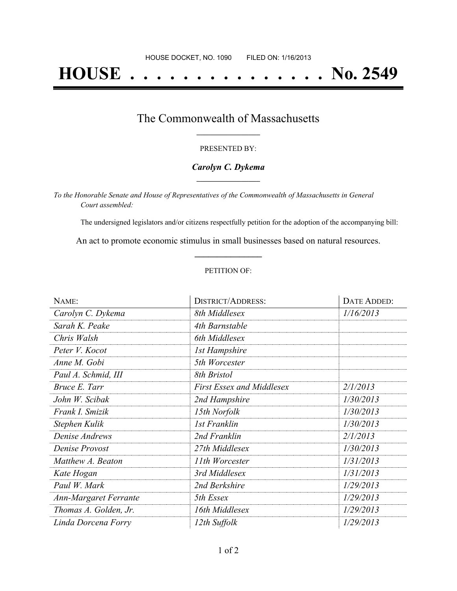# **HOUSE . . . . . . . . . . . . . . . No. 2549**

## The Commonwealth of Massachusetts **\_\_\_\_\_\_\_\_\_\_\_\_\_\_\_\_\_**

#### PRESENTED BY:

#### *Carolyn C. Dykema* **\_\_\_\_\_\_\_\_\_\_\_\_\_\_\_\_\_**

*To the Honorable Senate and House of Representatives of the Commonwealth of Massachusetts in General Court assembled:*

The undersigned legislators and/or citizens respectfully petition for the adoption of the accompanying bill:

An act to promote economic stimulus in small businesses based on natural resources. **\_\_\_\_\_\_\_\_\_\_\_\_\_\_\_**

#### PETITION OF:

| NAME:                 | <b>DISTRICT/ADDRESS:</b>         | DATE ADDED: |
|-----------------------|----------------------------------|-------------|
| Carolyn C. Dykema     | 8th Middlesex                    | 1/16/2013   |
| Sarah K. Peake        | 4th Barnstable                   |             |
| Chris Walsh           | 6th Middlesex                    |             |
| Peter V. Kocot        | <b>1st Hampshire</b>             |             |
| Anne M. Gobi          | 5th Worcester                    |             |
| Paul A. Schmid, III   | 8th Bristol                      |             |
| Bruce E. Tarr         | <b>First Essex and Middlesex</b> | 2/1/2013    |
| John W. Scibak        | 2nd Hampshire                    | 1/30/2013   |
| Frank I. Smizik       | 15th Norfolk                     | 1/30/2013   |
| Stephen Kulik         | 1st Franklin                     | 1/30/2013   |
| Denise Andrews        | 2nd Franklin                     | 2/1/2013    |
| Denise Provost        | 27th Middlesex                   | 1/30/2013   |
| Matthew A. Beaton     | 11th Worcester                   | 1/31/2013   |
| Kate Hogan            | 3rd Middlesex                    | 1/31/2013   |
| Paul W. Mark          | 2nd Berkshire                    | 1/29/2013   |
| Ann-Margaret Ferrante | 5th Essex                        | 1/29/2013   |
| Thomas A. Golden, Jr. | 16th Middlesex                   | 1/29/2013   |
| Linda Dorcena Forry   | 12th Suffolk                     | 1/29/2013   |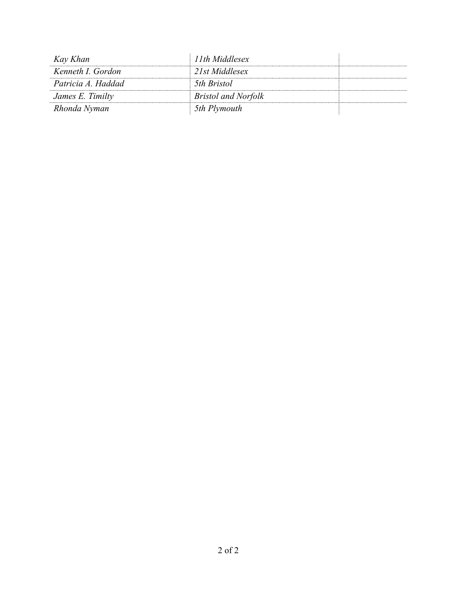| Kay Khan           | 11th Middlesex             |  |
|--------------------|----------------------------|--|
| Kenneth I. Gordon  | 21st Middlesex             |  |
| Patricia A. Haddad | 5th Bristol                |  |
| James E. Timilty   | <b>Bristol and Norfolk</b> |  |
| Rhonda Nyman       | 5th Plymouth               |  |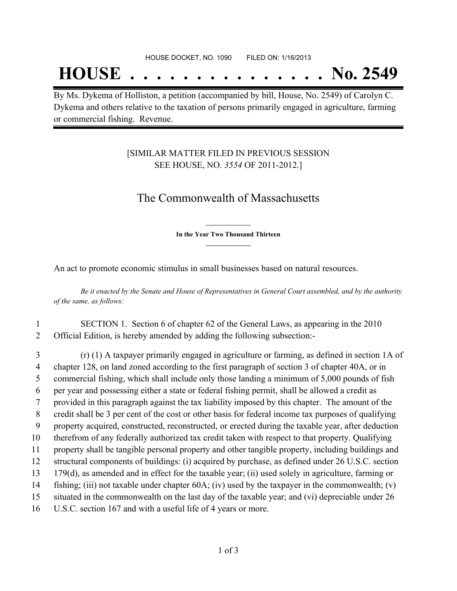## **HOUSE . . . . . . . . . . . . . . . No. 2549**

By Ms. Dykema of Holliston, a petition (accompanied by bill, House, No. 2549) of Carolyn C. Dykema and others relative to the taxation of persons primarily engaged in agriculture, farming or commercial fishing. Revenue.

## [SIMILAR MATTER FILED IN PREVIOUS SESSION SEE HOUSE, NO. *3554* OF 2011-2012.]

## The Commonwealth of Massachusetts

**\_\_\_\_\_\_\_\_\_\_\_\_\_\_\_ In the Year Two Thousand Thirteen \_\_\_\_\_\_\_\_\_\_\_\_\_\_\_**

An act to promote economic stimulus in small businesses based on natural resources.

Be it enacted by the Senate and House of Representatives in General Court assembled, and by the authority *of the same, as follows:*

### 1 SECTION 1. Section 6 of chapter 62 of the General Laws, as appearing in the 2010 2 Official Edition, is hereby amended by adding the following subsection:-

 (r) (1) A taxpayer primarily engaged in agriculture or farming, as defined in section 1A of chapter 128, on land zoned according to the first paragraph of section 3 of chapter 40A, or in commercial fishing, which shall include only those landing a minimum of 5,000 pounds of fish per year and possessing either a state or federal fishing permit, shall be allowed a credit as provided in this paragraph against the tax liability imposed by this chapter. The amount of the credit shall be 3 per cent of the cost or other basis for federal income tax purposes of qualifying property acquired, constructed, reconstructed, or erected during the taxable year, after deduction therefrom of any federally authorized tax credit taken with respect to that property. Qualifying property shall be tangible personal property and other tangible property, including buildings and structural components of buildings: (i) acquired by purchase, as defined under 26 U.S.C. section 179(d), as amended and in effect for the taxable year; (ii) used solely in agriculture, farming or fishing; (iii) not taxable under chapter 60A; (iv) used by the taxpayer in the commonwealth; (v) situated in the commonwealth on the last day of the taxable year; and (vi) depreciable under 26 U.S.C. section 167 and with a useful life of 4 years or more.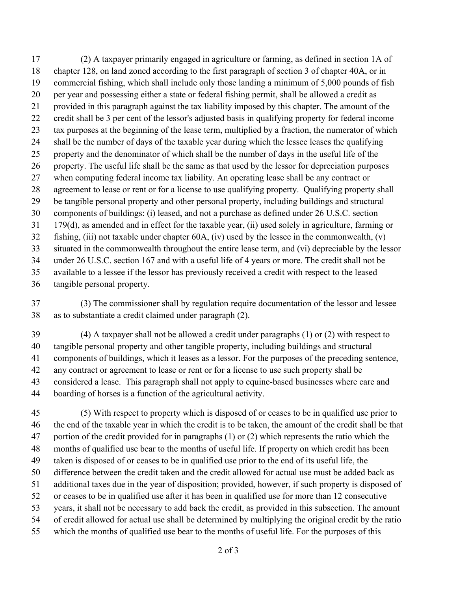(2) A taxpayer primarily engaged in agriculture or farming, as defined in section 1A of chapter 128, on land zoned according to the first paragraph of section 3 of chapter 40A, or in commercial fishing, which shall include only those landing a minimum of 5,000 pounds of fish per year and possessing either a state or federal fishing permit, shall be allowed a credit as provided in this paragraph against the tax liability imposed by this chapter. The amount of the credit shall be 3 per cent of the lessor's adjusted basis in qualifying property for federal income tax purposes at the beginning of the lease term, multiplied by a fraction, the numerator of which shall be the number of days of the taxable year during which the lessee leases the qualifying property and the denominator of which shall be the number of days in the useful life of the property. The useful life shall be the same as that used by the lessor for depreciation purposes when computing federal income tax liability. An operating lease shall be any contract or agreement to lease or rent or for a license to use qualifying property. Qualifying property shall be tangible personal property and other personal property, including buildings and structural components of buildings: (i) leased, and not a purchase as defined under 26 U.S.C. section 179(d), as amended and in effect for the taxable year, (ii) used solely in agriculture, farming or fishing, (iii) not taxable under chapter 60A, (iv) used by the lessee in the commonwealth, (v) situated in the commonwealth throughout the entire lease term, and (vi) depreciable by the lessor under 26 U.S.C. section 167 and with a useful life of 4 years or more. The credit shall not be available to a lessee if the lessor has previously received a credit with respect to the leased tangible personal property.

 (3) The commissioner shall by regulation require documentation of the lessor and lessee as to substantiate a credit claimed under paragraph (2).

 (4) A taxpayer shall not be allowed a credit under paragraphs (1) or (2) with respect to tangible personal property and other tangible property, including buildings and structural components of buildings, which it leases as a lessor. For the purposes of the preceding sentence, any contract or agreement to lease or rent or for a license to use such property shall be considered a lease. This paragraph shall not apply to equine-based businesses where care and boarding of horses is a function of the agricultural activity.

 (5) With respect to property which is disposed of or ceases to be in qualified use prior to the end of the taxable year in which the credit is to be taken, the amount of the credit shall be that portion of the credit provided for in paragraphs (1) or (2) which represents the ratio which the months of qualified use bear to the months of useful life. If property on which credit has been taken is disposed of or ceases to be in qualified use prior to the end of its useful life, the difference between the credit taken and the credit allowed for actual use must be added back as additional taxes due in the year of disposition; provided, however, if such property is disposed of or ceases to be in qualified use after it has been in qualified use for more than 12 consecutive years, it shall not be necessary to add back the credit, as provided in this subsection. The amount of credit allowed for actual use shall be determined by multiplying the original credit by the ratio which the months of qualified use bear to the months of useful life. For the purposes of this